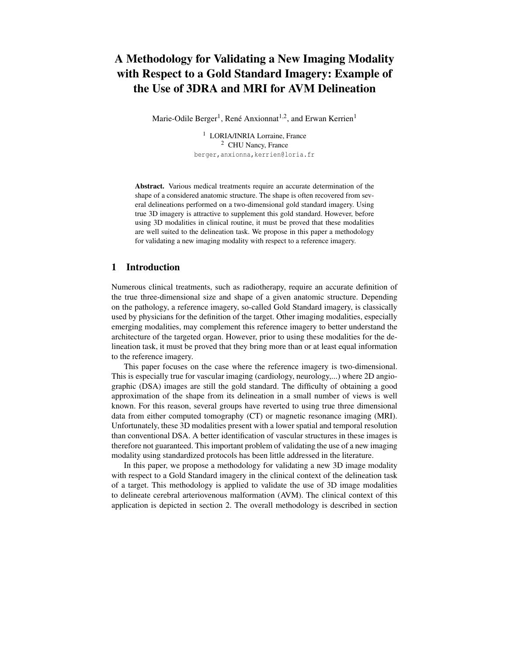# **A Methodology for Validating a New Imaging Modality with Respect to a Gold Standard Imagery: Example of the Use of 3DRA and MRI for AVM Delineation**

Marie-Odile Berger<sup>1</sup>, René Anxionnat<sup>1,2</sup>, and Erwan Kerrien<sup>1</sup>

<sup>1</sup> LORIA/INRIA Lorraine, France <sup>2</sup> CHU Nancy, France berger, anxionna, kerrien@loria.fr

**Abstract.** Various medical treatments require an accurate determination of the shape of a considered anatomic structure. The shape is often recovered from several delineations performed on a two-dimensional gold standard imagery. Using true 3D imagery is attractive to supplement this gold standard. However, before using 3D modalities in clinical routine, it must be proved that these modalities are well suited to the delineation task. We propose in this paper a methodology for validating a new imaging modality with respect to a reference imagery.

# **1 Introduction**

Numerous clinical treatments, such as radiotherapy, require an accurate definition of the true three-dimensional size and shape of a given anatomic structure. Depending on the pathology, a reference imagery, so-called Gold Standard imagery, is classically used by physicians for the definition of the target. Other imaging modalities, especially emerging modalities, may complement this reference imagery to better understand the architecture of the targeted organ. However, prior to using these modalities for the delineation task, it must be proved that they bring more than or at least equal information to the reference imagery.

This paper focuses on the case where the reference imagery is two-dimensional. This is especially true for vascular imaging (cardiology, neurology,...) where 2D angiographic (DSA) images are still the gold standard. The difficulty of obtaining a good approximation of the shape from its delineation in a small number of views is well known. For this reason, several groups have reverted to using true three dimensional data from either computed tomography (CT) or magnetic resonance imaging (MRI). Unfortunately, these 3D modalities present with a lower spatial and temporal resolution than conventional DSA. A better identification of vascular structures in these images is therefore not guaranteed. This important problem of validating the use of a new imaging modality using standardized protocols has been little addressed in the literature.

In this paper, we propose a methodology for validating a new 3D image modality with respect to a Gold Standard imagery in the clinical context of the delineation task of a target. This methodology is applied to validate the use of 3D image modalities to delineate cerebral arteriovenous malformation (AVM). The clinical context of this application is depicted in section 2. The overall methodology is described in section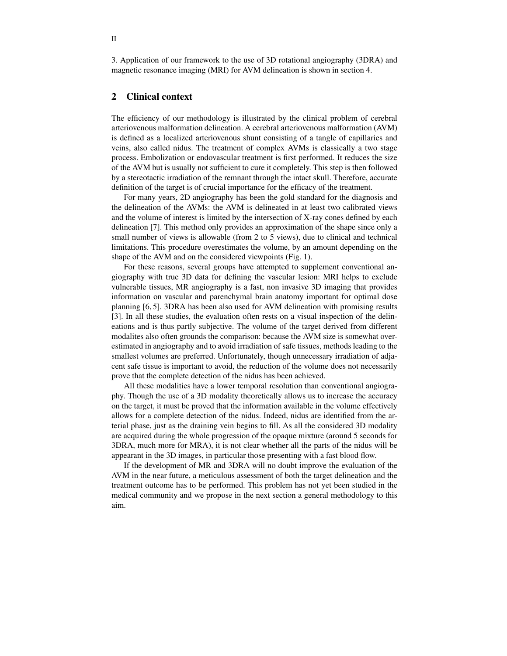3. Application of our framework to the use of 3D rotational angiography (3DRA) and magnetic resonance imaging (MRI) for AVM delineation is shown in section 4.

# **2 Clinical context**

The efficiency of our methodology is illustrated by the clinical problem of cerebral arteriovenous malformation delineation. A cerebral arteriovenous malformation (AVM) is defined as a localized arteriovenous shunt consisting of a tangle of capillaries and veins, also called nidus. The treatment of complex AVMs is classically a two stage process. Embolization or endovascular treatment is first performed. It reduces the size of the AVM but is usually not sufficient to cure it completely. This step is then followed by a stereotactic irradiation of the remnant through the intact skull. Therefore, accurate definition of the target is of crucial importance for the efficacy of the treatment.

For many years, 2D angiography has been the gold standard for the diagnosis and the delineation of the AVMs: the AVM is delineated in at least two calibrated views and the volume of interest is limited by the intersection of X-ray cones defined by each delineation [7]. This method only provides an approximation of the shape since only a small number of views is allowable (from 2 to 5 views), due to clinical and technical limitations. This procedure overestimates the volume, by an amount depending on the shape of the AVM and on the considered viewpoints (Fig. 1).

For these reasons, several groups have attempted to supplement conventional angiography with true 3D data for defining the vascular lesion: MRI helps to exclude vulnerable tissues, MR angiography is a fast, non invasive 3D imaging that provides information on vascular and parenchymal brain anatomy important for optimal dose planning [6, 5]. 3DRA has been also used for AVM delineation with promising results [3]. In all these studies, the evaluation often rests on a visual inspection of the delineations and is thus partly subjective. The volume of the target derived from different modalites also often grounds the comparison: because the AVM size is somewhat overestimated in angiography and to avoid irradiation of safe tissues, methods leading to the smallest volumes are preferred. Unfortunately, though unnecessary irradiation of adjacent safe tissue is important to avoid, the reduction of the volume does not necessarily prove that the complete detection of the nidus has been achieved.

All these modalities have a lower temporal resolution than conventional angiography. Though the use of a 3D modality theoretically allows us to increase the accuracy on the target, it must be proved that the information available in the volume effectively allows for a complete detection of the nidus. Indeed, nidus are identified from the arterial phase, just as the draining vein begins to fill. As all the considered 3D modality are acquired during the whole progression of the opaque mixture (around 5 seconds for 3DRA, much more for MRA), it is not clear whether all the parts of the nidus will be appearant in the 3D images, in particular those presenting with a fast blood flow.

If the development of MR and 3DRA will no doubt improve the evaluation of the AVM in the near future, a meticulous assessment of both the target delineation and the treatment outcome has to be performed. This problem has not yet been studied in the medical community and we propose in the next section a general methodology to this aim.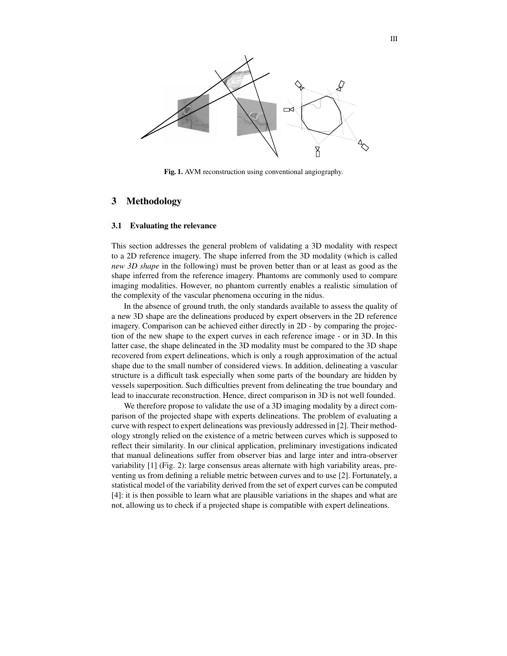

**Fig. 1.** AVM reconstruction using conventional angiography.

# **3 Methodology**

### **3.1 Evaluating the relevance**

This section addresses the general problem of validating a 3D modality with respect to a 2D reference imagery. The shape inferred from the 3D modality (which is called *new 3D shape* in the following) must be proven better than or at least as good as the shape inferred from the reference imagery. Phantoms are commonly used to compare imaging modalities. However, no phantom currently enables a realistic simulation of the complexity of the vascular phenomena occuring in the nidus.

In the absence of ground truth, the only standards available to assess the quality of a new 3D shape are the delineations produced by expert observers in the 2D reference imagery. Comparison can be achieved either directly in 2D - by comparing the projection of the new shape to the expert curves in each reference image - or in 3D. In this latter case, the shape delineated in the 3D modality must be compared to the 3D shape recovered from expert delineations, which is only a rough approximation of the actual shape due to the small number of considered views. In addition, delineating a vascular structure is a difficult task especially when some parts of the boundary are hidden by vessels superposition. Such difficulties prevent from delineating the true boundary and lead to inaccurate reconstruction. Hence, direct comparison in 3D is not well founded.

We therefore propose to validate the use of a 3D imaging modality by a direct comparison of the projected shape with experts delineations. The problem of evaluating a curve with respect to expert delineations was previously addressed in [2]. Their methodology strongly relied on the existence of a metric between curves which is supposed to reflect their similarity. In our clinical application, preliminary investigations indicated that manual delineations suffer from observer bias and large inter and intra-observer variability [1] (Fig. 2): large consensus areas alternate with high variability areas, preventing us from defining a reliable metric between curves and to use [2]. Fortunately, a statistical model of the variability derived from the set of expert curves can be computed [4]: it is then possible to learn what are plausible variations in the shapes and what are not, allowing us to check if a projected shape is compatible with expert delineations.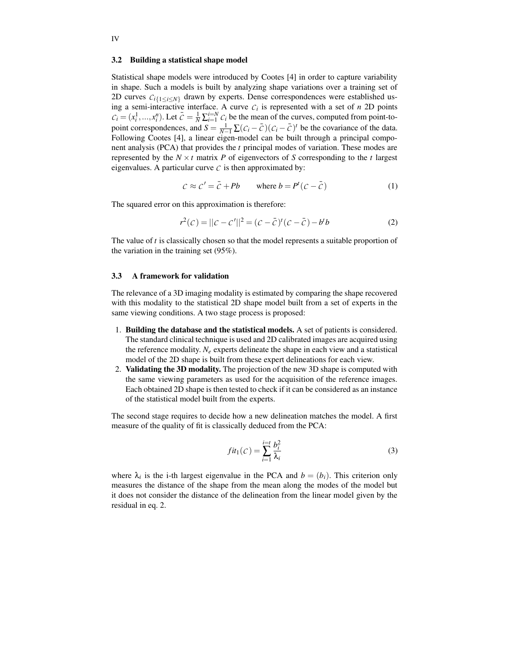#### **3.2 Building a statistical shape model**

Statistical shape models were introduced by Cootes [4] in order to capture variability in shape. Such a models is built by analyzing shape variations over a training set of 2D curves  $C_i$ <sub>{1≤*i*≤*N*}</sub> drawn by experts. Dense correspondences were established using a semi-interactive interface. A curve  $C_i$  is represented with a set of *n* 2D points  $C_i = (x_i^1, ..., x_i^n)$ . Let  $\bar{C} = \frac{1}{N} \sum_{i=1}^{i=N} C_i$  be the mean of the curves, computed from point-topoint correspondences, and  $S = \frac{1}{N-1} \sum (C_i - \overline{C})(C_i - \overline{C})^t$  be the covariance of the data. Following Cootes [4], a linear eigen-model can be built through a principal component analysis (PCA) that provides the *t* principal modes of variation. These modes are represented by the  $N \times t$  matrix P of eigenvectors of S corresponding to the t largest eigenvalues. A particular curve  $\mathcal C$  is then approximated by:

$$
C \approx C' = \bar{C} + Pb \qquad \text{where } b = P^t (C - \bar{C}) \tag{1}
$$

The squared error on this approximation is therefore:

$$
r^{2}(c) = ||c - c'||^{2} = (c - \bar{c})^{t}(c - \bar{c}) - b^{t}b
$$
 (2)

The value of *t* is classically chosen so that the model represents a suitable proportion of the variation in the training set (95%).

## **3.3 A framework for validation**

The relevance of a 3D imaging modality is estimated by comparing the shape recovered with this modality to the statistical 2D shape model built from a set of experts in the same viewing conditions. A two stage process is proposed:

- 1. **Building the database and the statistical models.** A set of patients is considered. The standard clinical technique is used and 2D calibrated images are acquired using the reference modality.  $N_e$  experts delineate the shape in each view and a statistical model of the 2D shape is built from these expert delineations for each view.
- 2. **Validating the 3D modality.** The projection of the new 3D shape is computed with the same viewing parameters as used for the acquisition of the reference images. Each obtained 2D shape is then tested to check if it can be considered as an instance of the statistical model built from the experts.

The second stage requires to decide how a new delineation matches the model. A first measure of the quality of fit is classically deduced from the PCA:

$$
fit_1(\mathcal{C}) = \sum_{i=1}^{i=t} \frac{b_i^2}{\lambda_i} \tag{3}
$$

where  $\lambda_i$  is the i-th largest eigenvalue in the PCA and  $b = (b_i)$ . This criterion only measures the distance of the shape from the mean along the modes of the model but it does not consider the distance of the delineation from the linear model given by the residual in eq. 2.

IV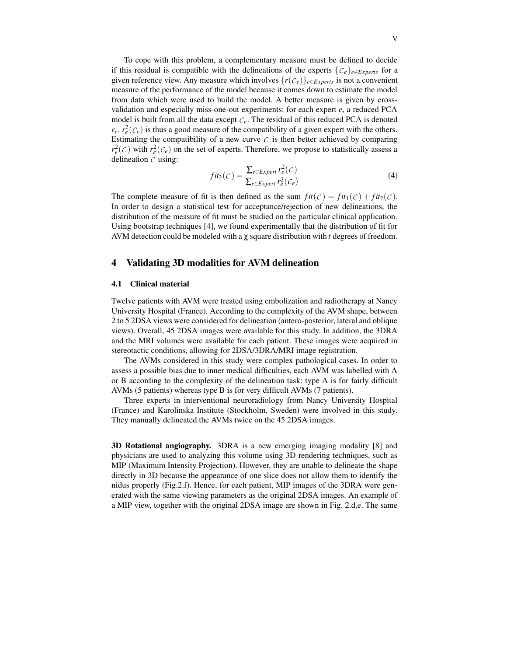To cope with this problem, a complementary measure must be defined to decide if this residual is compatible with the delineations of the experts  $\{C_e\}_{e \in Experts}$  for a given reference view. Any measure which involves  $\{r(\mathcal{C}_e)\}_{e \in Express}$  is not a convenient measure of the performance of the model because it comes down to estimate the model from data which were used to build the model. A better measure is given by crossvalidation and especially miss-one-out experiments: for each expert *e*, a reduced PCA model is built from all the data except  $C_e$ . The residual of this reduced PCA is denoted  $r_e$ .  $r_e^2(\mathcal{C}_e)$  is thus a good measure of the compatibility of a given expert with the others. Estimating the compatibility of a new curve  $C$  is then better achieved by comparing  $r_e^2(c)$  with  $r_e^2(c_e)$  on the set of experts. Therefore, we propose to statistically assess a delineation *C* using:

$$
fit_2(C) = \frac{\sum_{e \in Experiment} r_e^2(C)}{\sum_{e \in Experiment} r_e^2(C_e)}
$$
(4)

The complete measure of fit is then defined as the sum  $fit(C) = fit_1(C) + fit_2(C)$ . In order to design a statistical test for acceptance/rejection of new delineations, the distribution of the measure of fit must be studied on the particular clinical application. Using bootstrap techniques [4], we found experimentally that the distribution of fit for AVM detection could be modeled with a χ square distribution with *t* degrees of freedom.

# **4 Validating 3D modalities for AVM delineation**

#### **4.1 Clinical material**

Twelve patients with AVM were treated using embolization and radiotherapy at Nancy University Hospital (France). According to the complexity of the AVM shape, between 2 to 5 2DSA views were considered for delineation (antero-posterior, lateral and oblique views). Overall, 45 2DSA images were available for this study. In addition, the 3DRA and the MRI volumes were available for each patient. These images were acquired in stereotactic conditions, allowing for 2DSA/3DRA/MRI image registration.

The AVMs considered in this study were complex pathological cases. In order to assess a possible bias due to inner medical difficulties, each AVM was labelled with A or B according to the complexity of the delineation task: type A is for fairly difficult AVMs (5 patients) whereas type B is for very difficult AVMs (7 patients).

Three experts in interventional neuroradiology from Nancy University Hospital (France) and Karolinska Institute (Stockholm, Sweden) were involved in this study. They manually delineated the AVMs twice on the 45 2DSA images.

**3D Rotational angiography.** 3DRA is a new emerging imaging modality [8] and physicians are used to analyzing this volume using 3D rendering techniques, such as MIP (Maximum Intensity Projection). However, they are unable to delineate the shape directly in 3D because the appearance of one slice does not allow them to identify the nidus properly (Fig.2.f). Hence, for each patient, MIP images of the 3DRA were generated with the same viewing parameters as the original 2DSA images. An example of a MIP view, together with the original 2DSA image are shown in Fig. 2.d,e. The same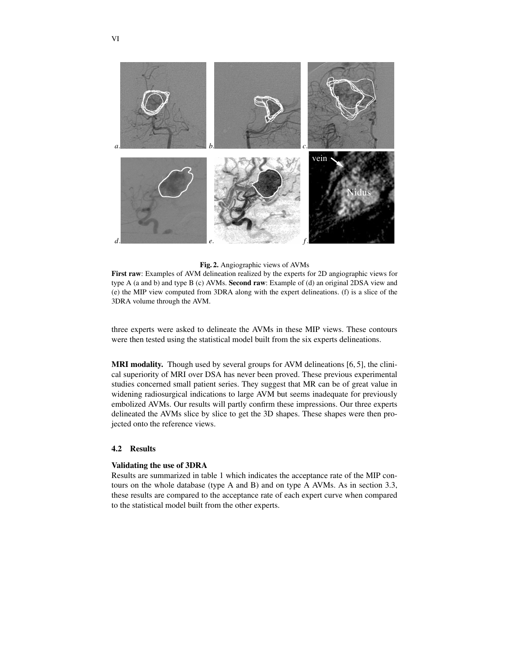

# **Fig. 2.** Angiographic views of AVMs

**First raw**: Examples of AVM delineation realized by the experts for 2D angiographic views for type A (a and b) and type B (c) AVMs. **Second raw**: Example of (d) an original 2DSA view and (e) the MIP view computed from 3DRA along with the expert delineations. (f) is a slice of the 3DRA volume through the AVM.

three experts were asked to delineate the AVMs in these MIP views. These contours were then tested using the statistical model built from the six experts delineations.

**MRI modality.** Though used by several groups for AVM delineations [6, 5], the clinical superiority of MRI over DSA has never been proved. These previous experimental studies concerned small patient series. They suggest that MR can be of great value in widening radiosurgical indications to large AVM but seems inadequate for previously embolized AVMs. Our results will partly confirm these impressions. Our three experts delineated the AVMs slice by slice to get the 3D shapes. These shapes were then projected onto the reference views.

### **4.2 Results**

### **Validating the use of 3DRA**

Results are summarized in table 1 which indicates the acceptance rate of the MIP contours on the whole database (type A and B) and on type A AVMs. As in section 3.3, these results are compared to the acceptance rate of each expert curve when compared to the statistical model built from the other experts.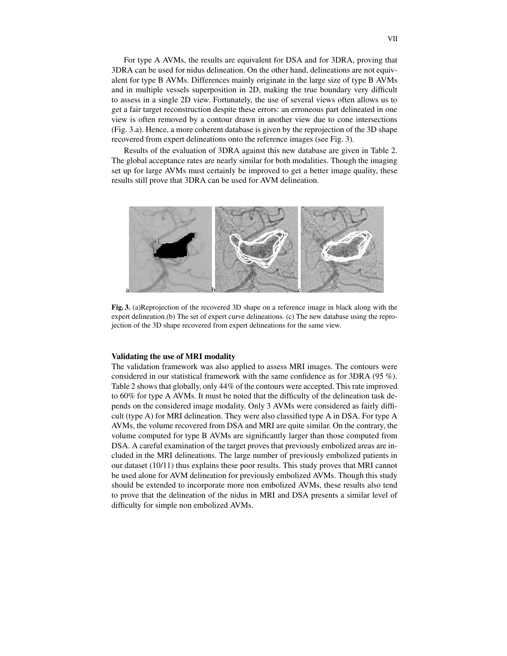For type A AVMs, the results are equivalent for DSA and for 3DRA, proving that 3DRA can be used for nidus delineation. On the other hand, delineations are not equivalent for type B AVMs. Differences mainly originate in the large size of type B AVMs and in multiple vessels superposition in 2D, making the true boundary very difficult to assess in a single 2D view. Fortunately, the use of several views often allows us to get a fair target reconstruction despite these errors: an erroneous part delineated in one view is often removed by a contour drawn in another view due to cone intersections (Fig. 3.a). Hence, a more coherent database is given by the reprojection of the 3D shape recovered from expert delineations onto the reference images (see Fig. 3).

Results of the evaluation of 3DRA against this new database are given in Table 2. The global acceptance rates are nearly similar for both modalities. Though the imaging set up for large AVMs must certainly be improved to get a better image quality, these results still prove that 3DRA can be used for AVM delineation.



**Fig. 3.** (a)Reprojection of the recovered 3D shape on a reference image in black along with the expert delineation.(b) The set of expert curve delineations. (c) The new database using the reprojection of the 3D shape recovered from expert delineations for the same view.

## **Validating the use of MRI modality**

The validation framework was also applied to assess MRI images. The contours were considered in our statistical framework with the same confidence as for 3DRA (95 %). Table 2 shows that globally, only 44% of the contours were accepted. This rate improved to 60% for type A AVMs. It must be noted that the difficulty of the delineation task depends on the considered image modality. Only 3 AVMs were considered as fairly difficult (type A) for MRI delineation. They were also classified type A in DSA. For type A AVMs, the volume recovered from DSA and MRI are quite similar. On the contrary, the volume computed for type B AVMs are significantly larger than those computed from DSA. A careful examination of the target proves that previously embolized areas are included in the MRI delineations. The large number of previously embolized patients in our dataset (10/11) thus explains these poor results. This study proves that MRI cannot be used alone for AVM delineation for previously embolized AVMs. Though this study should be extended to incorporate more non embolized AVMs, these results also tend to prove that the delineation of the nidus in MRI and DSA presents a similar level of difficulty for simple non embolized AVMs.